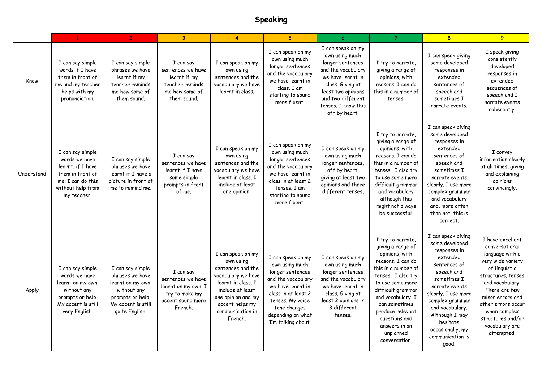## **Speaking**

|            | $\mathbf{1}$                                                                                                                        | 2 <sup>1</sup>                                                                                                                      | $\overline{3}$                                                                                          | $\overline{4}$                                                                                                                                                                              | 5 <sup>5</sup>                                                                                                                                                                                           | 6                                                                                                                                                                                                         | $\overline{7}$                                                                                                                                                                                                                                                                                | 8 <sup>1</sup>                                                                                                                                                                                                                                                              | 9                                                                                                                                                                                                                                                                    |
|------------|-------------------------------------------------------------------------------------------------------------------------------------|-------------------------------------------------------------------------------------------------------------------------------------|---------------------------------------------------------------------------------------------------------|---------------------------------------------------------------------------------------------------------------------------------------------------------------------------------------------|----------------------------------------------------------------------------------------------------------------------------------------------------------------------------------------------------------|-----------------------------------------------------------------------------------------------------------------------------------------------------------------------------------------------------------|-----------------------------------------------------------------------------------------------------------------------------------------------------------------------------------------------------------------------------------------------------------------------------------------------|-----------------------------------------------------------------------------------------------------------------------------------------------------------------------------------------------------------------------------------------------------------------------------|----------------------------------------------------------------------------------------------------------------------------------------------------------------------------------------------------------------------------------------------------------------------|
| Know       | I can say simple<br>words if I have<br>them in front of<br>me and my teacher<br>helps with my<br>pronunciation.                     | I can say simple<br>phrases we have<br>learnt if my<br>teacher reminds<br>me how some of<br>them sound.                             | I can say<br>sentences we have<br>learnt if my<br>teacher reminds<br>me how some of<br>them sound.      | I can speak on my<br>own using<br>sentences and the<br>vocabulary we have<br>learnt in class.                                                                                               | I can speak on my<br>own using much<br>longer sentences<br>and the vocabulary<br>we have learnt in<br>class. I am<br>starting to sound<br>more fluent.                                                   | I can speak on my<br>own using much<br>longer sentences<br>and the vocabulary<br>we have learnt in<br>class. Giving at<br>least two opinions<br>and two different<br>tenses. I know this<br>off by heart. | I try to narrate,<br>giving a range of<br>opinions, with<br>reasons. I can do<br>this in a number of<br>tenses.                                                                                                                                                                               | I can speak giving<br>some developed<br>responses in<br>extended<br>sentences of<br>speech and<br>sometimes I<br>narrate events.                                                                                                                                            | I speak giving<br>consistently<br>developed<br>responses in<br>extended<br>sequences of<br>speech and I<br>narrate events<br>coherently.                                                                                                                             |
| Understand | I can say simple<br>words we have<br>learnt, if I have<br>them in front of<br>me. I can do this<br>without help from<br>my teacher. | I can say simple<br>phrases we have<br>learnt if I have a<br>picture in front of<br>me to remind me.                                | I can say<br>sentences we have<br>learnt if I have<br>some simple<br>prompts in front<br>of me.         | I can speak on my<br>own using<br>sentences and the<br>vocabulary we have<br>learnt in class. I<br>include at least<br>one opinion.                                                         | I can speak on my<br>own using much<br>longer sentences<br>and the vocabulary<br>we have learnt in<br>class in at least 2<br>tenses. I am<br>starting to sound<br>more fluent.                           | I can speak on my<br>own using much<br>longer sentences,<br>off by heart,<br>giving at least two<br>opinions and three<br>different tenses.                                                               | I try to narrate,<br>giving a range of<br>opinions, with<br>reasons. I can do<br>this in a number of<br>tenses. I also try<br>to use some more<br>difficult grammar<br>and vocabulary<br>although this<br>might not always<br>be successful.                                                  | I can speak giving<br>some developed<br>responses in<br>extended<br>sentences of<br>speech and<br>sometimes I<br>narrate events<br>clearly. I use more<br>complex grammar<br>and vocabulary<br>and, more often<br>than not, this is<br>correct.                             | I convey<br>information clearly<br>at all times, giving<br>and explaining<br>opinions<br>convincingly.                                                                                                                                                               |
| Apply      | I can say simple<br>words we have<br>learnt on my own,<br>without any<br>prompts or help.<br>My accent is still<br>very English.    | I can say simple<br>phrases we have<br>learnt on my own,<br>without any<br>prompts or help.<br>My accent is still<br>quite English. | I can say<br>sentences we have<br>learnt on my own. I<br>try to make my<br>accent sound more<br>French. | I can speak on my<br>own using<br>sentences and the<br>vocabulary we have<br>learnt in class. I<br>include at least<br>one opinion and my<br>accent helps my<br>communication in<br>French. | I can speak on my<br>own using much<br>longer sentences<br>and the vocabulary<br>we have learnt in<br>class in at least 2<br>tenses. My voice<br>tone changes<br>depending on what<br>I'm talking about. | I can speak on my<br>own using much<br>longer sentences<br>and the vocabulary<br>we have learnt in<br>class. Giving at<br>least 2 opinions in<br>3 different<br>tenses.                                   | I try to narrate,<br>giving a range of<br>opinions, with<br>reasons. I can do<br>this in a number of<br>tenses. I also try<br>to use some more<br>difficult grammar<br>and vocabulary. I<br>can sometimes<br>produce relevant<br>questions and<br>answers in an<br>unplanned<br>conversation. | I can speak giving<br>some developed<br>responses in<br>extended<br>sentences of<br>speech and<br>sometimes I<br>narrate events<br>clearly. I use more<br>complex grammar<br>and vocabulary.<br>Although I may<br>hesitate<br>occasionally, my<br>communication is<br>good. | I have excellent<br>conversational<br>language with a<br>very wide variety<br>of linguistic<br>structures, tenses<br>and vocabulary.<br>There are few<br>minor errors and<br>other errors occur<br>when complex<br>structures and/or<br>vocabulary are<br>attempted. |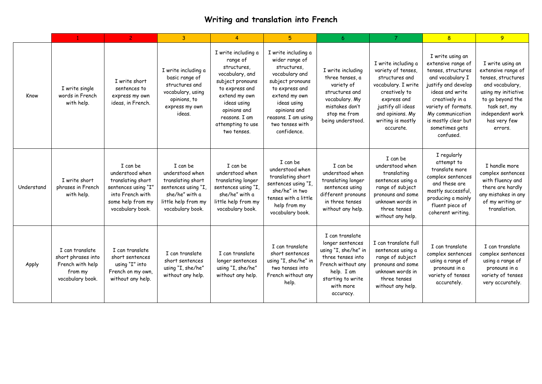## **Writing and translation into French**

|            |                                                                                          | $\overline{2}$                                                                                                                       | 3                                                                                                                                    | $\overline{4}$                                                                                                                                                                                               | 5 <sup>5</sup>                                                                                                                                                                                                        | 6                                                                                                                                                                   | $\overline{7}$                                                                                                                                                                                | 8                                                                                                                                                                                                                                              | 9 <sup>°</sup>                                                                                                                                                                            |
|------------|------------------------------------------------------------------------------------------|--------------------------------------------------------------------------------------------------------------------------------------|--------------------------------------------------------------------------------------------------------------------------------------|--------------------------------------------------------------------------------------------------------------------------------------------------------------------------------------------------------------|-----------------------------------------------------------------------------------------------------------------------------------------------------------------------------------------------------------------------|---------------------------------------------------------------------------------------------------------------------------------------------------------------------|-----------------------------------------------------------------------------------------------------------------------------------------------------------------------------------------------|------------------------------------------------------------------------------------------------------------------------------------------------------------------------------------------------------------------------------------------------|-------------------------------------------------------------------------------------------------------------------------------------------------------------------------------------------|
| Know       | I write single<br>words in French<br>with help.                                          | I write short<br>sentences to<br>express my own<br>ideas, in French.                                                                 | I write including a<br>basic range of<br>structures and<br>vocabulary, using<br>opinions, to<br>express my own<br>ideas.             | I write including a<br>range of<br>structures.<br>vocabulary, and<br>subject pronouns<br>to express and<br>extend my own<br>ideas using<br>opinions and<br>reasons. I am<br>attempting to use<br>two tenses. | I write including a<br>wider range of<br>structures.<br>vocabulary and<br>subject pronouns<br>to express and<br>extend my own<br>ideas using<br>opinions and<br>reasons. I am using<br>two tenses with<br>confidence. | I write including<br>three tenses, a<br>variety of<br>structures and<br>vocabulary. My<br>mistakes don't<br>stop me from<br>being understood.                       | I write including a<br>variety of tenses,<br>structures and<br>vocabulary. I write<br>creatively to<br>express and<br>justify all ideas<br>and opinions. My<br>writing is mostly<br>accurate. | I write using an<br>extensive range of<br>tenses, structures<br>and vocabulary I<br>justify and develop<br>ideas and write<br>creatively in a<br>variety of formats.<br>My communication<br>is mostly clear but<br>sometimes gets<br>confused. | I write using an<br>extensive range of<br>tenses, structures<br>and vocabulary,<br>using my initiative<br>to go beyond the<br>task set, my<br>independent work<br>has very few<br>errors. |
| Understand | I write short<br>phrases in French<br>with help.                                         | I can be<br>understood when<br>translating short<br>sentences using "I"<br>into French with<br>some help from my<br>vocabulary book. | I can be<br>understood when<br>translating short<br>sentences using "I,<br>she/he" with a<br>little help from my<br>vocabulary book. | I can be<br>understood when<br>translating longer<br>sentences using "I,<br>she/he" with a<br>little help from my<br>vocabulary book.                                                                        | I can be<br>understood when<br>translating short<br>sentences using "I,<br>she/he" in two<br>tenses with a little<br>help from my<br>vocabulary book.                                                                 | I can be<br>understood when<br>translating longer<br>sentences using<br>different pronouns<br>in three tenses<br>without any help.                                  | I can be<br>understood when<br>translating<br>sentences using a<br>range of subject<br>pronouns and some<br>unknown words in<br>three tenses<br>without any help.                             | I regularly<br>attempt to<br>translate more<br>complex sentences<br>and these are<br>mostly successful,<br>producing a mainly<br>fluent piece of<br>coherent writing.                                                                          | I handle more<br>complex sentences<br>with fluency and<br>there are hardly<br>any mistakes in any<br>of my writing or<br>translation.                                                     |
| Apply      | I can translate<br>short phrases into<br>French with help<br>from my<br>vocabulary book. | I can translate<br>short sentences<br>using "I" into<br>French on my own,<br>without any help.                                       | I can translate<br>short sentences<br>using "I, she/he"<br>without any help.                                                         | I can translate<br>longer sentences<br>using "I, she/he"<br>without any help.                                                                                                                                | I can translate<br>short sentences<br>using "I, she/he" in<br>two tenses into<br>French without any<br>help.                                                                                                          | I can translate<br>longer sentences<br>using "I, she/he" in<br>three tenses into<br>French without any<br>help. I am<br>starting to write<br>with more<br>accuracy. | I can translate full<br>sentences using a<br>range of subject<br>pronouns and some<br>unknown words in<br>three tenses<br>without any help.                                                   | I can translate<br>complex sentences<br>using a range of<br>pronouns in a<br>variety of tenses<br>accurately.                                                                                                                                  | I can translate<br>complex sentences<br>using a range of<br>pronouns in a<br>variety of tenses<br>very accurately.                                                                        |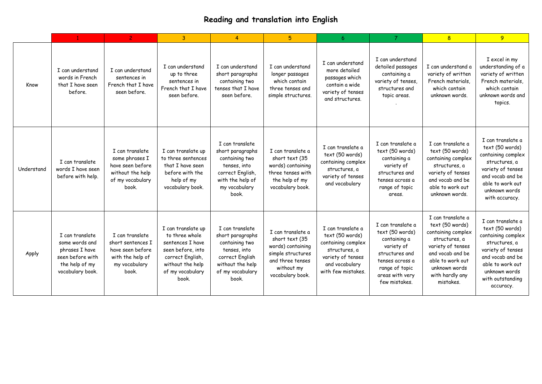## **Reading and translation into English**

|            |                                                                                                               | $\overline{2}$                                                                                         | 3                                                                                                                                                  | $\overline{4}$                                                                                                                            | 5                                                                                                                                   | 6                                                                                                                                        | $\overline{7}$                                                                                                                                                | 8                                                                                                                                                                                         | 9                                                                                                                                                                                          |
|------------|---------------------------------------------------------------------------------------------------------------|--------------------------------------------------------------------------------------------------------|----------------------------------------------------------------------------------------------------------------------------------------------------|-------------------------------------------------------------------------------------------------------------------------------------------|-------------------------------------------------------------------------------------------------------------------------------------|------------------------------------------------------------------------------------------------------------------------------------------|---------------------------------------------------------------------------------------------------------------------------------------------------------------|-------------------------------------------------------------------------------------------------------------------------------------------------------------------------------------------|--------------------------------------------------------------------------------------------------------------------------------------------------------------------------------------------|
| Know       | I can understand<br>words in French<br>that I have seen<br>before.                                            | I can understand<br>sentences in<br>French that I have<br>seen before.                                 | I can understand<br>up to three<br>sentences in<br>French that I have<br>seen before.                                                              | I can understand<br>short paragraphs<br>containing two<br>tenses that I have<br>seen before.                                              | I can understand<br>longer passages<br>which contain<br>three tenses and<br>simple structures.                                      | I can understand<br>more detailed<br>passages which<br>contain a wide<br>variety of tenses<br>and structures.                            | I can understand<br>detailed passages<br>containing a<br>variety of tenses,<br>structures and<br>topic areas.                                                 | I can understand a<br>variety of written<br>French materials,<br>which contain<br>unknown words.                                                                                          | I excel in my<br>understanding of a<br>variety of written<br>French materials,<br>which contain<br>unknown words and<br>topics.                                                            |
| Understand | I can translate<br>words I have seen<br>before with help.                                                     | I can translate<br>some phrases I<br>have seen before<br>without the help<br>of my vocabulary<br>book. | I can translate up<br>to three sentences<br>that I have seen<br>before with the<br>help of my<br>vocabulary book.                                  | I can translate<br>short paragraphs<br>containing two<br>tenses, into<br>correct English,<br>with the help of<br>my vocabulary<br>book.   | I can translate a<br>short text (35<br>words) containing<br>three tenses with<br>the help of my<br>vocabulary book.                 | I can translate a<br>text (50 words)<br>containing complex<br>structures, a<br>variety of tenses<br>and vocabulary                       | I can translate a<br>text (50 words)<br>containing a<br>variety of<br>structures and<br>tenses across a<br>range of topic<br>areas.                           | I can translate a<br>text (50 words)<br>containing complex<br>structures, a<br>variety of tenses<br>and vocab and be<br>able to work out<br>unknown words.                                | I can translate a<br>text (50 words)<br>containing complex<br>structures, a<br>variety of tenses<br>and vocab and be<br>able to work out<br>unknown words<br>with accuracy.                |
| Apply      | I can translate<br>some words and<br>phrases I have<br>seen before with<br>the help of my<br>vocabulary book. | I can translate<br>short sentences I<br>have seen before<br>with the help of<br>my vocabulary<br>book. | I can translate up<br>to three whole<br>sentences I have<br>seen before, into<br>correct English,<br>without the help<br>of my vocabulary<br>book. | I can translate<br>short paragraphs<br>containing two<br>tenses, into<br>correct English<br>without the help<br>of my vocabulary<br>book. | I can translate a<br>short text (35<br>words) containing<br>simple structures<br>and three tenses<br>without my<br>vocabulary book. | I can translate a<br>text (50 words)<br>containing complex<br>structures, a<br>variety of tenses<br>and vocabulary<br>with few mistakes. | I can translate a<br>text (50 words)<br>containing a<br>variety of<br>structures and<br>tenses across a<br>range of topic<br>areas with very<br>few mistakes. | I can translate a<br>text (50 words)<br>containing complex<br>structures, a<br>variety of tenses<br>and vocab and be<br>able to work out<br>unknown words<br>with hardly any<br>mistakes. | I can translate a<br>text (50 words)<br>containing complex<br>structures, a<br>variety of tenses<br>and vocab and be<br>able to work out<br>unknown words<br>with outstanding<br>accuracy. |